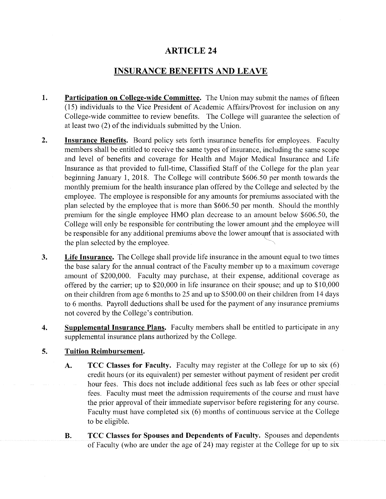## ARTICLE 24

## INSURANCE BENEFITS AND LEAVE

- **1. Participation on College-wide Committee.** The Union may submit the names of fifteen (15) individuals to the Vice President of Academic Affairs/Provost for inclusion on any College-wide committee to review benefits. The College will guarantee the selection of at least two  $(2)$  of the individuals submitted by the Union.
- **Insurance Benefits.** Board policy sets forth insurance benefits for employees. Faculty members shall be entitled to receive the same types of insurance, including the same scope and level of benefits and coverage for Health and Major Medical Insurance and Life Insurance as that provided to full-time, Classified Staff of the College for the plan year beginning January 1, 2018. The College will contribute \$606.50 per month towards the monthly premium for the health insurance plan offered by the College and selected by the employee. The employee is responsible for any amounts for premiums associated with the plan selected by the employee that is more than \$606.50 per month. Should the monthly premium for the single employee HMO plan decrease to an amount below \$606.50, the College will only be responsible for contributing the lower amount and the employee will be responsible for any additional premiums above the lower amount that is associated with the plan selected by the employee. **2.**
- **Life Insurance.** The College shall provide life insurance in the amount equal to two times the base salary for the annual contract of the Faculty member up to a maximum coverage amount of \$200,000. Faculty may purchase, at their expense, additional coverage as offered by the carrier; up to \$20,000 in life insurance on their spouse; and up to \$10,000 on their children from age 6 months to 25 and up to \$500.00 on their children from 14 days to 6 months. Payroll deductions shall be used for the payment of any insurance premiums not covered by the College's contribution. **3.**
- **Supplemental Insurance Plans.** Faculty members shall be entitled to participate in any supplemental insurance plans authorized by the College. **4.**

## **Tuition Reimbursement. 5.**

- **TCC Classes for Faculty.** Faculty may register at the College for up to six (6) credit hours (or its equivalent) per semester without payment of resident per credit hour fees. This does not include additional fees such as lab fees or other special fees. Faculty must meet the admission requirements of the course and must have the prior approval of their immediate supervisor before registering for any course. Faculty must have completed six (6) months of continuous service at the College to be eligible. **A.**
- **TCC Classes for Spouses and Dependents of Faculty.** Spouses and dependents of Faculty (who are under the age of 24) may register at the College for up to six **B.**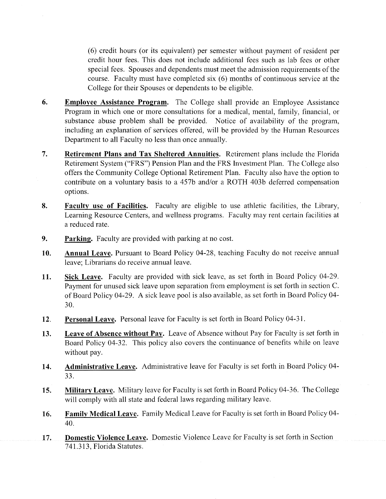(6) credit hours (or its equivalent) per semester without payment of resident per credit hour fees. This does not include additional fees such as lab fees or other special fees. Spouses and dependents must meet the admission requirements of the course. Faculty must have completed six (6) months of continuous service at the College for their Spouses or dependents to be eligible.

- **Employee Assistance Program.** The College shall provide an Employee Assistance Program in which one or more consultations for a medical, mental, family, financial, or substance abuse problem shall be provided. Notice of availability of the program, including an explanation of services offered, will be provided by the Human Resources Department to all Faculty no less than once annually. **6.**
- **Retirement Plans and Tax Sheltered Annuities.** Retirement plans include the Florida Retirement System ("FRS") Pension Plan and the FRS Investment Plan. The College also offers the Community College Optional Retirement Plan. Faculty also have the option to contribute on a voluntary basis to a 457b and/or a ROTH 403b deferred compensation options. **7.**
- **Faculty use of Facilities.** Faculty are eligible to use athletic facilities, the Library, Learning Resource Centers, and wellness programs. Faculty may rent certain facilities at a reduced rate. 8.
- **Parking.** Faculty are provided with parking at no cost. 9.
- **Annual Leave.** Pursuant to Board Policy 04-28, teaching Faculty do not receive annual leave; Librarians do receive annual leave. 10.
- **Sick Leave.** Faculty are provided with sick leave, as set forth in Board Policy 04-29. Payment for unused sick leave upon separation from employment is set forth in section C. ofBoard Policy 04-29. A sick leave pool is also available, as set forth in Board Policy 04- 11. **30.**
- **Personal Leave.** Personal leave for Faculty is set forth in Board Policy 04-31. 12.
- **Leave of Absence without Pay.** Leave of Absence without Pay for Faculty is set forth in Board Policy 04-32. This policy also covers the continuance of benefits while on leave without pay. 13.
- **Administrative Leave.** Administrative leave for Faculty is set forth in Board Policy 04- 14. **33.**
- **Military Leave.** Military leave for Faculty is set forth in Board Policy 04-36. The College will comply with all state and federal laws regarding military leave. **15.**
- **Family Medical Leave.** Family Medical Leave for Faculty is set forth in Board Policy 04- **16. 40.**
- **Domestic Violence Leave.** Domestic Violence Leave for Faculty is set forth in Section 741.313, Florida Statutes. 17.